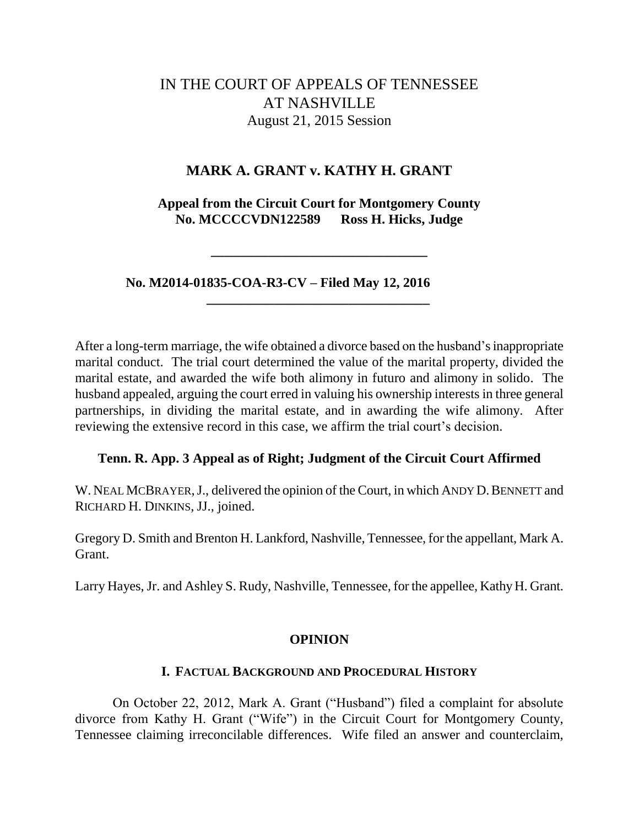# IN THE COURT OF APPEALS OF TENNESSEE AT NASHVILLE August 21, 2015 Session

# **MARK A. GRANT v. KATHY H. GRANT**

**Appeal from the Circuit Court for Montgomery County No. MCCCCVDN122589 Ross H. Hicks, Judge**

**\_\_\_\_\_\_\_\_\_\_\_\_\_\_\_\_\_\_\_\_\_\_\_\_\_\_\_\_\_\_\_\_**

**\_\_\_\_\_\_\_\_\_\_\_\_\_\_\_\_\_\_\_\_\_\_\_\_\_\_\_\_\_\_\_\_\_**

 **No. M2014-01835-COA-R3-CV – Filed May 12, 2016**

After a long-term marriage, the wife obtained a divorce based on the husband's inappropriate marital conduct. The trial court determined the value of the marital property, divided the marital estate, and awarded the wife both alimony in futuro and alimony in solido. The husband appealed, arguing the court erred in valuing his ownership interests in three general partnerships, in dividing the marital estate, and in awarding the wife alimony. After reviewing the extensive record in this case, we affirm the trial court's decision.

# **Tenn. R. App. 3 Appeal as of Right; Judgment of the Circuit Court Affirmed**

W. NEAL MCBRAYER, J., delivered the opinion of the Court, in which ANDY D. BENNETT and RICHARD H. DINKINS, JJ., joined.

Gregory D. Smith and Brenton H. Lankford, Nashville, Tennessee, for the appellant, Mark A. Grant.

Larry Hayes, Jr. and Ashley S. Rudy, Nashville, Tennessee, for the appellee, Kathy H. Grant.

# **OPINION**

#### **I. FACTUAL BACKGROUND AND PROCEDURAL HISTORY**

On October 22, 2012, Mark A. Grant ("Husband") filed a complaint for absolute divorce from Kathy H. Grant ("Wife") in the Circuit Court for Montgomery County, Tennessee claiming irreconcilable differences. Wife filed an answer and counterclaim,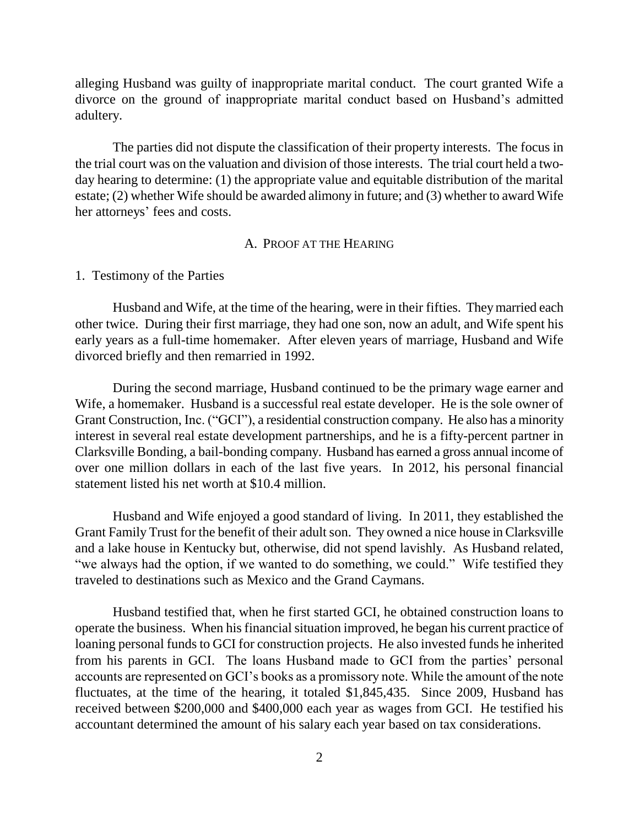alleging Husband was guilty of inappropriate marital conduct. The court granted Wife a divorce on the ground of inappropriate marital conduct based on Husband's admitted adultery.

The parties did not dispute the classification of their property interests. The focus in the trial court was on the valuation and division of those interests. The trial court held a twoday hearing to determine: (1) the appropriate value and equitable distribution of the marital estate; (2) whether Wife should be awarded alimony in future; and (3) whether to award Wife her attorneys' fees and costs.

#### A. PROOF AT THE HEARING

#### 1. Testimony of the Parties

Husband and Wife, at the time of the hearing, were in their fifties. They married each other twice. During their first marriage, they had one son, now an adult, and Wife spent his early years as a full-time homemaker. After eleven years of marriage, Husband and Wife divorced briefly and then remarried in 1992.

During the second marriage, Husband continued to be the primary wage earner and Wife, a homemaker. Husband is a successful real estate developer. He is the sole owner of Grant Construction, Inc. ("GCI"), a residential construction company. He also has a minority interest in several real estate development partnerships, and he is a fifty-percent partner in Clarksville Bonding, a bail-bonding company. Husband has earned a gross annual income of over one million dollars in each of the last five years. In 2012, his personal financial statement listed his net worth at \$10.4 million.

Husband and Wife enjoyed a good standard of living. In 2011, they established the Grant Family Trust for the benefit of their adult son. They owned a nice house in Clarksville and a lake house in Kentucky but, otherwise, did not spend lavishly. As Husband related, "we always had the option, if we wanted to do something, we could." Wife testified they traveled to destinations such as Mexico and the Grand Caymans.

Husband testified that, when he first started GCI, he obtained construction loans to operate the business. When his financial situation improved, he began his current practice of loaning personal funds to GCI for construction projects. He also invested funds he inherited from his parents in GCI. The loans Husband made to GCI from the parties' personal accounts are represented on GCI's books as a promissory note. While the amount of the note fluctuates, at the time of the hearing, it totaled \$1,845,435. Since 2009, Husband has received between \$200,000 and \$400,000 each year as wages from GCI. He testified his accountant determined the amount of his salary each year based on tax considerations.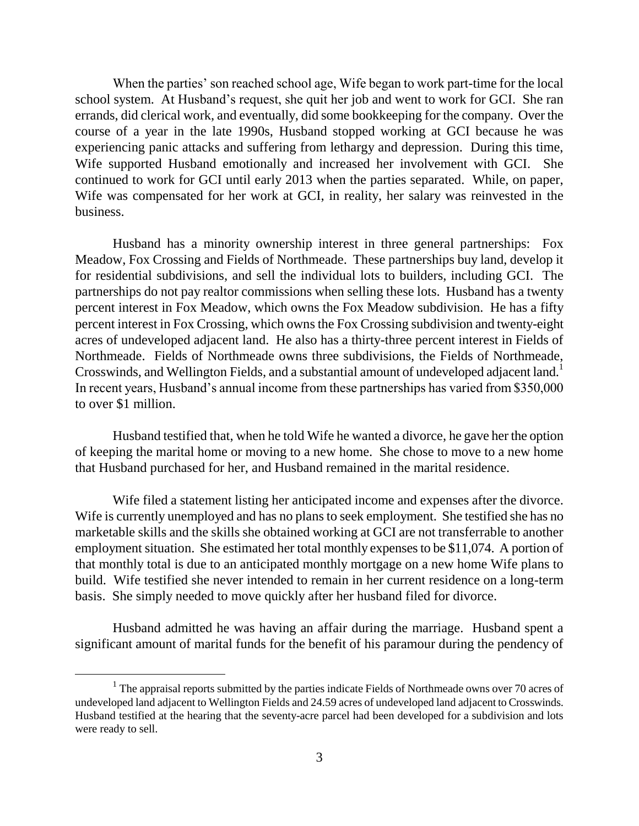When the parties' son reached school age, Wife began to work part-time for the local school system. At Husband's request, she quit her job and went to work for GCI. She ran errands, did clerical work, and eventually, did some bookkeeping for the company. Over the course of a year in the late 1990s, Husband stopped working at GCI because he was experiencing panic attacks and suffering from lethargy and depression. During this time, Wife supported Husband emotionally and increased her involvement with GCI. She continued to work for GCI until early 2013 when the parties separated. While, on paper, Wife was compensated for her work at GCI, in reality, her salary was reinvested in the business.

Husband has a minority ownership interest in three general partnerships: Fox Meadow, Fox Crossing and Fields of Northmeade. These partnerships buy land, develop it for residential subdivisions, and sell the individual lots to builders, including GCI. The partnerships do not pay realtor commissions when selling these lots. Husband has a twenty percent interest in Fox Meadow, which owns the Fox Meadow subdivision. He has a fifty percent interest in Fox Crossing, which owns the Fox Crossing subdivision and twenty-eight acres of undeveloped adjacent land. He also has a thirty-three percent interest in Fields of Northmeade. Fields of Northmeade owns three subdivisions, the Fields of Northmeade, Crosswinds, and Wellington Fields, and a substantial amount of undeveloped adjacent land.<sup>1</sup> In recent years, Husband's annual income from these partnerships has varied from \$350,000 to over \$1 million.

Husband testified that, when he told Wife he wanted a divorce, he gave her the option of keeping the marital home or moving to a new home. She chose to move to a new home that Husband purchased for her, and Husband remained in the marital residence.

Wife filed a statement listing her anticipated income and expenses after the divorce. Wife is currently unemployed and has no plans to seek employment. She testified she has no marketable skills and the skills she obtained working at GCI are not transferrable to another employment situation. She estimated her total monthly expenses to be \$11,074. A portion of that monthly total is due to an anticipated monthly mortgage on a new home Wife plans to build. Wife testified she never intended to remain in her current residence on a long-term basis. She simply needed to move quickly after her husband filed for divorce.

Husband admitted he was having an affair during the marriage. Husband spent a significant amount of marital funds for the benefit of his paramour during the pendency of

 $\overline{a}$ 

 $<sup>1</sup>$  The appraisal reports submitted by the parties indicate Fields of Northmeade owns over 70 acres of</sup> undeveloped land adjacent to Wellington Fields and 24.59 acres of undeveloped land adjacent to Crosswinds. Husband testified at the hearing that the seventy-acre parcel had been developed for a subdivision and lots were ready to sell.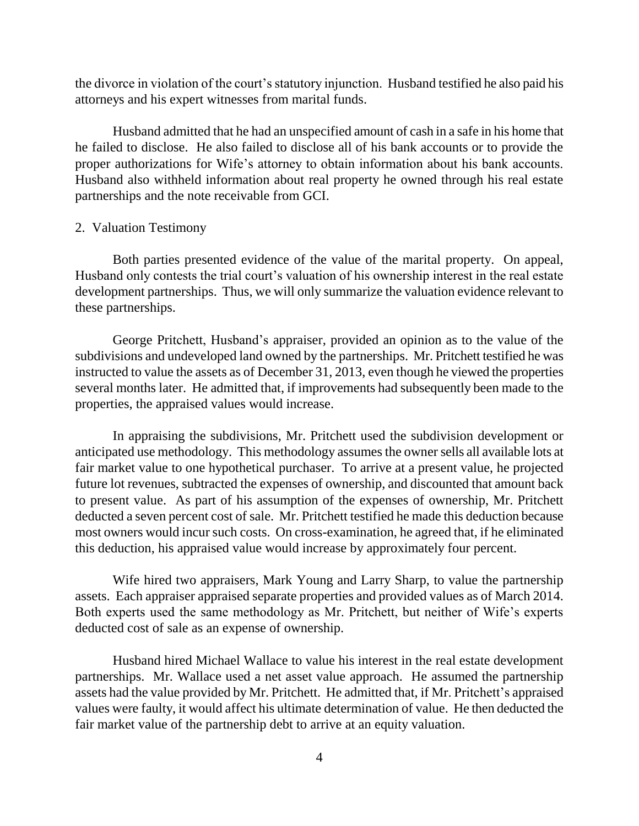the divorce in violation of the court's statutory injunction. Husband testified he also paid his attorneys and his expert witnesses from marital funds.

Husband admitted that he had an unspecified amount of cash in a safe in his home that he failed to disclose. He also failed to disclose all of his bank accounts or to provide the proper authorizations for Wife's attorney to obtain information about his bank accounts. Husband also withheld information about real property he owned through his real estate partnerships and the note receivable from GCI.

#### 2. Valuation Testimony

Both parties presented evidence of the value of the marital property. On appeal, Husband only contests the trial court's valuation of his ownership interest in the real estate development partnerships. Thus, we will only summarize the valuation evidence relevant to these partnerships.

George Pritchett, Husband's appraiser, provided an opinion as to the value of the subdivisions and undeveloped land owned by the partnerships. Mr. Pritchett testified he was instructed to value the assets as of December 31, 2013, even though he viewed the properties several months later. He admitted that, if improvements had subsequently been made to the properties, the appraised values would increase.

In appraising the subdivisions, Mr. Pritchett used the subdivision development or anticipated use methodology. This methodology assumes the owner sells all available lots at fair market value to one hypothetical purchaser. To arrive at a present value, he projected future lot revenues, subtracted the expenses of ownership, and discounted that amount back to present value. As part of his assumption of the expenses of ownership, Mr. Pritchett deducted a seven percent cost of sale. Mr. Pritchett testified he made this deduction because most owners would incur such costs. On cross-examination, he agreed that, if he eliminated this deduction, his appraised value would increase by approximately four percent.

Wife hired two appraisers, Mark Young and Larry Sharp, to value the partnership assets. Each appraiser appraised separate properties and provided values as of March 2014. Both experts used the same methodology as Mr. Pritchett, but neither of Wife's experts deducted cost of sale as an expense of ownership.

Husband hired Michael Wallace to value his interest in the real estate development partnerships. Mr. Wallace used a net asset value approach. He assumed the partnership assets had the value provided by Mr. Pritchett. He admitted that, if Mr. Pritchett's appraised values were faulty, it would affect his ultimate determination of value. He then deducted the fair market value of the partnership debt to arrive at an equity valuation.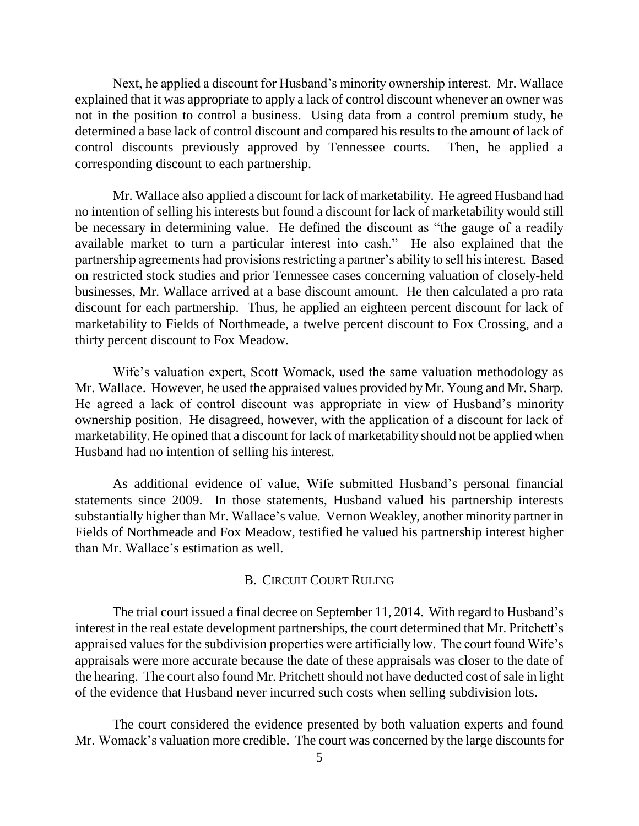Next, he applied a discount for Husband's minority ownership interest. Mr. Wallace explained that it was appropriate to apply a lack of control discount whenever an owner was not in the position to control a business. Using data from a control premium study, he determined a base lack of control discount and compared his results to the amount of lack of control discounts previously approved by Tennessee courts. Then, he applied a corresponding discount to each partnership.

Mr. Wallace also applied a discount for lack of marketability. He agreed Husband had no intention of selling his interests but found a discount for lack of marketability would still be necessary in determining value. He defined the discount as "the gauge of a readily available market to turn a particular interest into cash." He also explained that the partnership agreements had provisions restricting a partner's ability to sell his interest. Based on restricted stock studies and prior Tennessee cases concerning valuation of closely-held businesses, Mr. Wallace arrived at a base discount amount. He then calculated a pro rata discount for each partnership. Thus, he applied an eighteen percent discount for lack of marketability to Fields of Northmeade, a twelve percent discount to Fox Crossing, and a thirty percent discount to Fox Meadow.

Wife's valuation expert, Scott Womack, used the same valuation methodology as Mr. Wallace. However, he used the appraised values provided by Mr. Young and Mr. Sharp. He agreed a lack of control discount was appropriate in view of Husband's minority ownership position. He disagreed, however, with the application of a discount for lack of marketability. He opined that a discount for lack of marketability should not be applied when Husband had no intention of selling his interest.

As additional evidence of value, Wife submitted Husband's personal financial statements since 2009. In those statements, Husband valued his partnership interests substantially higher than Mr. Wallace's value. Vernon Weakley, another minority partner in Fields of Northmeade and Fox Meadow, testified he valued his partnership interest higher than Mr. Wallace's estimation as well.

#### B. CIRCUIT COURT RULING

The trial court issued a final decree on September 11, 2014. With regard to Husband's interest in the real estate development partnerships, the court determined that Mr. Pritchett's appraised values for the subdivision properties were artificially low. The court found Wife's appraisals were more accurate because the date of these appraisals was closer to the date of the hearing. The court also found Mr. Pritchett should not have deducted cost of sale in light of the evidence that Husband never incurred such costs when selling subdivision lots.

The court considered the evidence presented by both valuation experts and found Mr. Womack's valuation more credible. The court was concerned by the large discounts for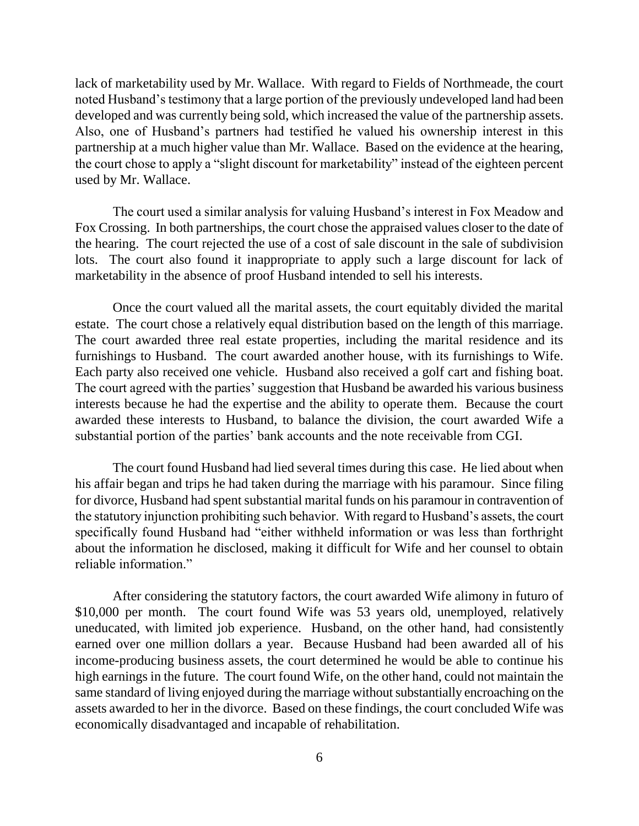lack of marketability used by Mr. Wallace. With regard to Fields of Northmeade, the court noted Husband's testimony that a large portion of the previously undeveloped land had been developed and was currently being sold, which increased the value of the partnership assets. Also, one of Husband's partners had testified he valued his ownership interest in this partnership at a much higher value than Mr. Wallace. Based on the evidence at the hearing, the court chose to apply a "slight discount for marketability" instead of the eighteen percent used by Mr. Wallace.

The court used a similar analysis for valuing Husband's interest in Fox Meadow and Fox Crossing. In both partnerships, the court chose the appraised values closer to the date of the hearing. The court rejected the use of a cost of sale discount in the sale of subdivision lots. The court also found it inappropriate to apply such a large discount for lack of marketability in the absence of proof Husband intended to sell his interests.

Once the court valued all the marital assets, the court equitably divided the marital estate. The court chose a relatively equal distribution based on the length of this marriage. The court awarded three real estate properties, including the marital residence and its furnishings to Husband. The court awarded another house, with its furnishings to Wife. Each party also received one vehicle. Husband also received a golf cart and fishing boat. The court agreed with the parties' suggestion that Husband be awarded his various business interests because he had the expertise and the ability to operate them. Because the court awarded these interests to Husband, to balance the division, the court awarded Wife a substantial portion of the parties' bank accounts and the note receivable from CGI.

The court found Husband had lied several times during this case. He lied about when his affair began and trips he had taken during the marriage with his paramour. Since filing for divorce, Husband had spent substantial marital funds on his paramour in contravention of the statutory injunction prohibiting such behavior. With regard to Husband's assets, the court specifically found Husband had "either withheld information or was less than forthright about the information he disclosed, making it difficult for Wife and her counsel to obtain reliable information."

After considering the statutory factors, the court awarded Wife alimony in futuro of \$10,000 per month. The court found Wife was 53 years old, unemployed, relatively uneducated, with limited job experience. Husband, on the other hand, had consistently earned over one million dollars a year. Because Husband had been awarded all of his income-producing business assets, the court determined he would be able to continue his high earnings in the future. The court found Wife, on the other hand, could not maintain the same standard of living enjoyed during the marriage without substantially encroaching on the assets awarded to her in the divorce. Based on these findings, the court concluded Wife was economically disadvantaged and incapable of rehabilitation.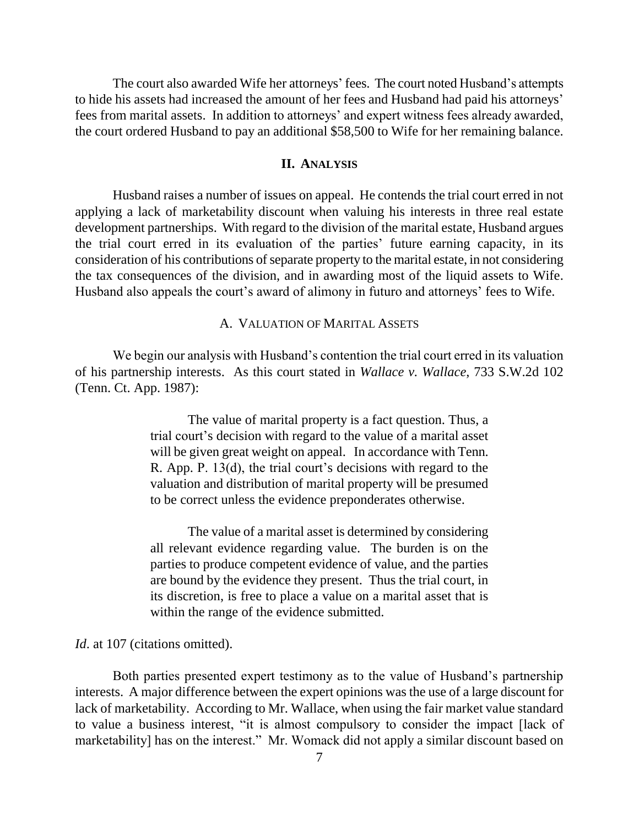The court also awarded Wife her attorneys' fees. The court noted Husband's attempts to hide his assets had increased the amount of her fees and Husband had paid his attorneys' fees from marital assets. In addition to attorneys' and expert witness fees already awarded, the court ordered Husband to pay an additional \$58,500 to Wife for her remaining balance.

### **II. ANALYSIS**

Husband raises a number of issues on appeal. He contends the trial court erred in not applying a lack of marketability discount when valuing his interests in three real estate development partnerships. With regard to the division of the marital estate, Husband argues the trial court erred in its evaluation of the parties' future earning capacity, in its consideration of his contributions of separate property to the marital estate, in not considering the tax consequences of the division, and in awarding most of the liquid assets to Wife. Husband also appeals the court's award of alimony in futuro and attorneys' fees to Wife.

#### A. VALUATION OF MARITAL ASSETS

We begin our analysis with Husband's contention the trial court erred in its valuation of his partnership interests. As this court stated in *Wallace v. Wallace*, 733 S.W.2d 102 (Tenn. Ct. App. 1987):

> The value of marital property is a fact question. Thus, a trial court's decision with regard to the value of a marital asset will be given great weight on appeal. In accordance with Tenn. R. App. P. 13(d), the trial court's decisions with regard to the valuation and distribution of marital property will be presumed to be correct unless the evidence preponderates otherwise.

> The value of a marital asset is determined by considering all relevant evidence regarding value. The burden is on the parties to produce competent evidence of value, and the parties are bound by the evidence they present. Thus the trial court, in its discretion, is free to place a value on a marital asset that is within the range of the evidence submitted.

*Id.* at 107 (citations omitted).

Both parties presented expert testimony as to the value of Husband's partnership interests. A major difference between the expert opinions was the use of a large discount for lack of marketability. According to Mr. Wallace, when using the fair market value standard to value a business interest, "it is almost compulsory to consider the impact [lack of marketability] has on the interest." Mr. Womack did not apply a similar discount based on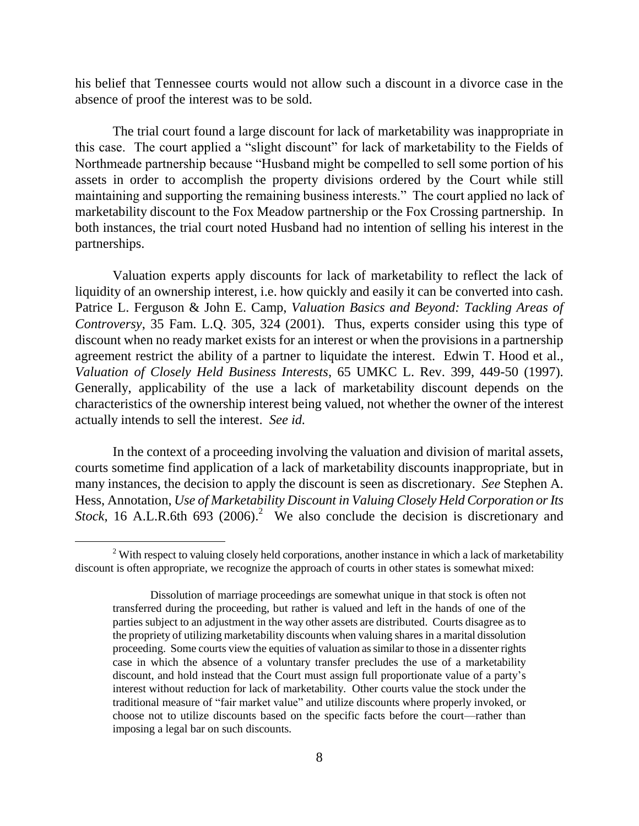his belief that Tennessee courts would not allow such a discount in a divorce case in the absence of proof the interest was to be sold.

The trial court found a large discount for lack of marketability was inappropriate in this case. The court applied a "slight discount" for lack of marketability to the Fields of Northmeade partnership because "Husband might be compelled to sell some portion of his assets in order to accomplish the property divisions ordered by the Court while still maintaining and supporting the remaining business interests." The court applied no lack of marketability discount to the Fox Meadow partnership or the Fox Crossing partnership. In both instances, the trial court noted Husband had no intention of selling his interest in the partnerships.

Valuation experts apply discounts for lack of marketability to reflect the lack of liquidity of an ownership interest, i.e. how quickly and easily it can be converted into cash. Patrice L. Ferguson & John E. Camp, *Valuation Basics and Beyond: Tackling Areas of Controversy*, 35 Fam. L.Q. 305, 324 (2001). Thus, experts consider using this type of discount when no ready market exists for an interest or when the provisions in a partnership agreement restrict the ability of a partner to liquidate the interest. Edwin T. Hood et al., *Valuation of Closely Held Business Interests*, 65 UMKC L. Rev. 399, 449-50 (1997). Generally, applicability of the use a lack of marketability discount depends on the characteristics of the ownership interest being valued, not whether the owner of the interest actually intends to sell the interest. *See id.*

In the context of a proceeding involving the valuation and division of marital assets, courts sometime find application of a lack of marketability discounts inappropriate, but in many instances, the decision to apply the discount is seen as discretionary. *See* Stephen A. Hess, Annotation, *Use of Marketability Discount in Valuing Closely Held Corporation or Its*  Stock, 16 A.L.R.6th 693 (2006).<sup>2</sup> We also conclude the decision is discretionary and

 $\overline{a}$ 

 $2$  With respect to valuing closely held corporations, another instance in which a lack of marketability discount is often appropriate, we recognize the approach of courts in other states is somewhat mixed:

Dissolution of marriage proceedings are somewhat unique in that stock is often not transferred during the proceeding, but rather is valued and left in the hands of one of the parties subject to an adjustment in the way other assets are distributed. Courts disagree as to the propriety of utilizing marketability discounts when valuing shares in a marital dissolution proceeding. Some courts view the equities of valuation as similar to those in a dissenter rights case in which the absence of a voluntary transfer precludes the use of a marketability discount, and hold instead that the Court must assign full proportionate value of a party's interest without reduction for lack of marketability. Other courts value the stock under the traditional measure of "fair market value" and utilize discounts where properly invoked, or choose not to utilize discounts based on the specific facts before the court—rather than imposing a legal bar on such discounts.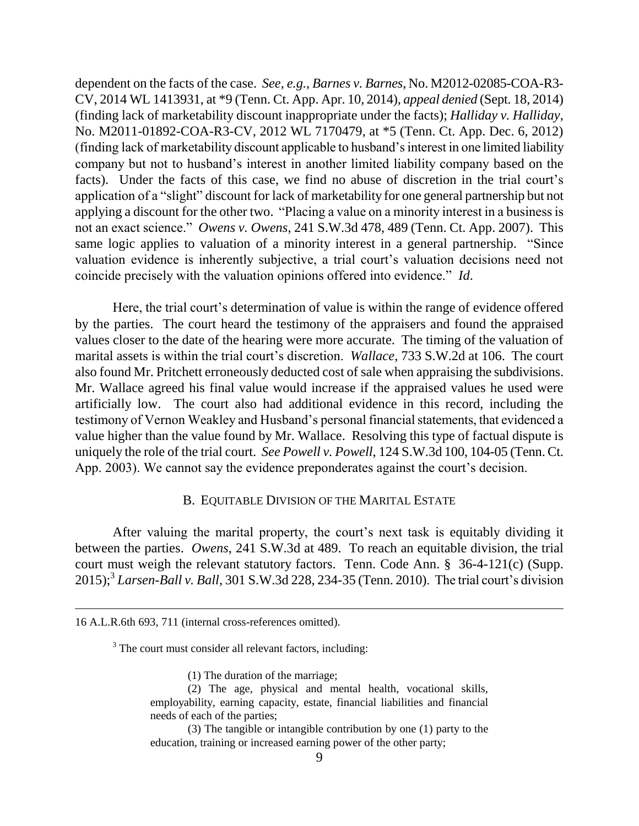dependent on the facts of the case. *See, e.g., Barnes v. Barnes*, No. M2012-02085-COA-R3- CV, 2014 WL 1413931, at \*9 (Tenn. Ct. App. Apr. 10, 2014), *appeal denied* (Sept. 18, 2014) (finding lack of marketability discount inappropriate under the facts); *Halliday v. Halliday*, No. M2011-01892-COA-R3-CV, 2012 WL 7170479, at \*5 (Tenn. Ct. App. Dec. 6, 2012) (finding lack of marketability discount applicable to husband's interest in one limited liability company but not to husband's interest in another limited liability company based on the facts). Under the facts of this case, we find no abuse of discretion in the trial court's application of a "slight" discount for lack of marketability for one general partnership but not applying a discount for the other two. "Placing a value on a minority interest in a business is not an exact science." *Owens v. Owens*, 241 S.W.3d 478, 489 (Tenn. Ct. App. 2007). This same logic applies to valuation of a minority interest in a general partnership. "Since valuation evidence is inherently subjective, a trial court's valuation decisions need not coincide precisely with the valuation opinions offered into evidence." *Id*.

Here, the trial court's determination of value is within the range of evidence offered by the parties. The court heard the testimony of the appraisers and found the appraised values closer to the date of the hearing were more accurate. The timing of the valuation of marital assets is within the trial court's discretion. *Wallace*, 733 S.W.2d at 106. The court also found Mr. Pritchett erroneously deducted cost of sale when appraising the subdivisions. Mr. Wallace agreed his final value would increase if the appraised values he used were artificially low. The court also had additional evidence in this record, including the testimony of Vernon Weakley and Husband's personal financial statements, that evidenced a value higher than the value found by Mr. Wallace. Resolving this type of factual dispute is uniquely the role of the trial court. *See Powell v. Powell*, 124 S.W.3d 100, 104-05 (Tenn. Ct. App. 2003). We cannot say the evidence preponderates against the court's decision.

#### B. EQUITABLE DIVISION OF THE MARITAL ESTATE

After valuing the marital property, the court's next task is equitably dividing it between the parties. *Owens*, 241 S.W.3d at 489. To reach an equitable division, the trial court must weigh the relevant statutory factors. Tenn. Code Ann. § 36-4-121(c) (Supp. 2015); 3 *Larsen-Ball v. Ball*, 301 S.W.3d 228, 234-35 (Tenn. 2010). The trial court's division

- (1) The duration of the marriage;
- (2) The age, physical and mental health, vocational skills, employability, earning capacity, estate, financial liabilities and financial needs of each of the parties;

(3) The tangible or intangible contribution by one (1) party to the education, training or increased earning power of the other party;

<sup>16</sup> A.L.R.6th 693, 711 (internal cross-references omitted).

<sup>&</sup>lt;sup>3</sup> The court must consider all relevant factors, including: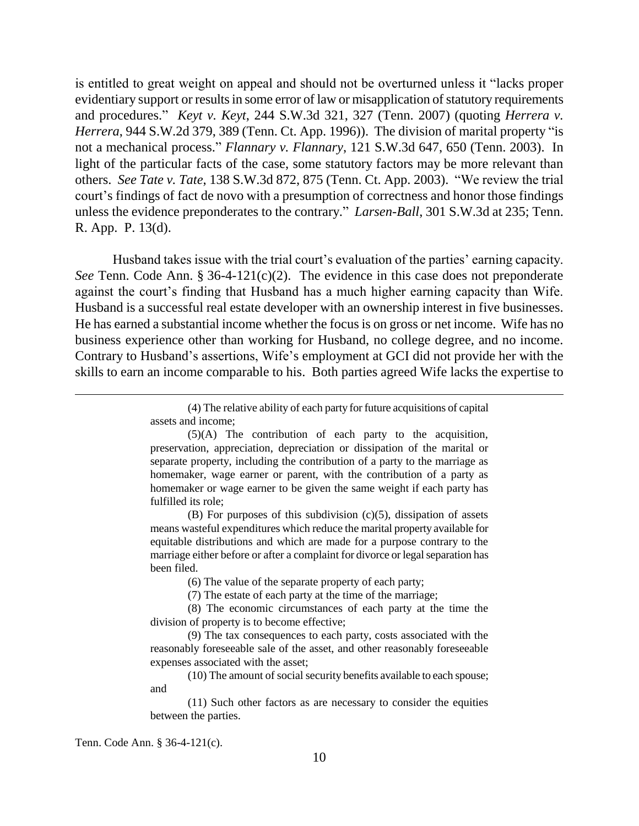is entitled to great weight on appeal and should not be overturned unless it "lacks proper evidentiary support or results in some error of law or misapplication of statutory requirements and procedures." *Keyt v. Keyt*, 244 S.W.3d 321, 327 (Tenn. 2007) (quoting *Herrera v. Herrera*, 944 S.W.2d 379, 389 (Tenn. Ct. App. 1996)). The division of marital property "is not a mechanical process." *Flannary v. Flannary*, 121 S.W.3d 647, 650 (Tenn. 2003). In light of the particular facts of the case, some statutory factors may be more relevant than others. *See Tate v. Tate*, 138 S.W.3d 872, 875 (Tenn. Ct. App. 2003). "We review the trial court's findings of fact de novo with a presumption of correctness and honor those findings unless the evidence preponderates to the contrary." *Larsen-Ball*, 301 S.W.3d at 235; Tenn. R. App. P. 13(d).

Husband takes issue with the trial court's evaluation of the parties' earning capacity. *See* Tenn. Code Ann. § 36-4-121(c)(2). The evidence in this case does not preponderate against the court's finding that Husband has a much higher earning capacity than Wife. Husband is a successful real estate developer with an ownership interest in five businesses. He has earned a substantial income whether the focus is on gross or net income. Wife has no business experience other than working for Husband, no college degree, and no income. Contrary to Husband's assertions, Wife's employment at GCI did not provide her with the skills to earn an income comparable to his. Both parties agreed Wife lacks the expertise to

(B) For purposes of this subdivision  $(c)(5)$ , dissipation of assets means wasteful expenditures which reduce the marital property available for equitable distributions and which are made for a purpose contrary to the marriage either before or after a complaint for divorce or legal separation has been filed.

(6) The value of the separate property of each party;

(7) The estate of each party at the time of the marriage;

(8) The economic circumstances of each party at the time the division of property is to become effective;

(9) The tax consequences to each party, costs associated with the reasonably foreseeable sale of the asset, and other reasonably foreseeable expenses associated with the asset;

(10) The amount of social security benefits available to each spouse; and

(11) Such other factors as are necessary to consider the equities between the parties.

Tenn. Code Ann. § 36-4-121(c).

<sup>(4)</sup> The relative ability of each party for future acquisitions of capital assets and income;

<sup>(5)(</sup>A) The contribution of each party to the acquisition, preservation, appreciation, depreciation or dissipation of the marital or separate property, including the contribution of a party to the marriage as homemaker, wage earner or parent, with the contribution of a party as homemaker or wage earner to be given the same weight if each party has fulfilled its role;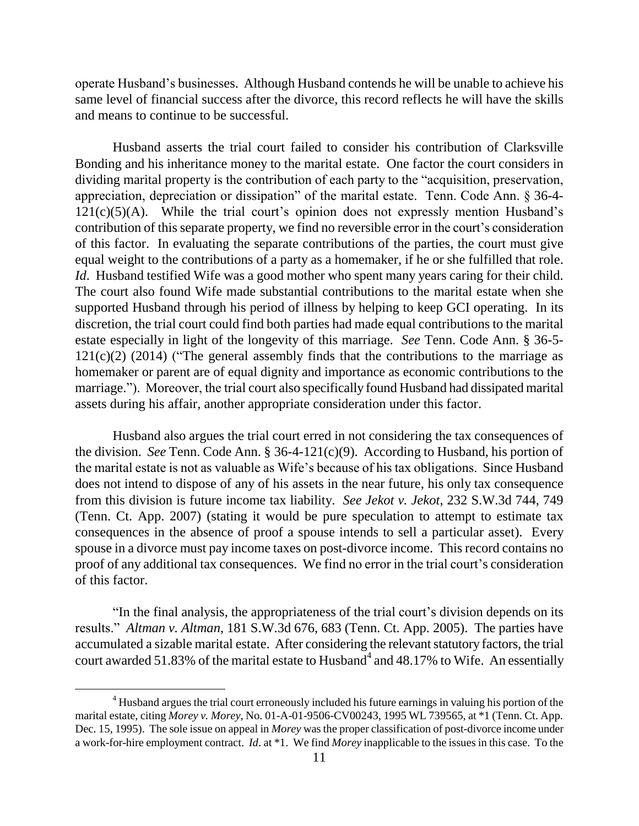operate Husband's businesses. Although Husband contends he will be unable to achieve his same level of financial success after the divorce, this record reflects he will have the skills and means to continue to be successful.

Husband asserts the trial court failed to consider his contribution of Clarksville Bonding and his inheritance money to the marital estate. One factor the court considers in dividing marital property is the contribution of each party to the "acquisition, preservation, appreciation, depreciation or dissipation" of the marital estate. Tenn. Code Ann. § 36-4-  $121(c)(5)(A)$ . While the trial court's opinion does not expressly mention Husband's contribution of this separate property, we find no reversible error in the court's consideration of this factor. In evaluating the separate contributions of the parties, the court must give equal weight to the contributions of a party as a homemaker, if he or she fulfilled that role. *Id.* Husband testified Wife was a good mother who spent many years caring for their child. The court also found Wife made substantial contributions to the marital estate when she supported Husband through his period of illness by helping to keep GCI operating. In its discretion, the trial court could find both parties had made equal contributions to the marital estate especially in light of the longevity of this marriage. *See* Tenn. Code Ann. § 36-5-  $121(c)(2)$  (2014) ("The general assembly finds that the contributions to the marriage as homemaker or parent are of equal dignity and importance as economic contributions to the marriage."). Moreover, the trial court also specifically found Husband had dissipated marital assets during his affair, another appropriate consideration under this factor.

Husband also argues the trial court erred in not considering the tax consequences of the division. *See* Tenn. Code Ann. § 36-4-121(c)(9). According to Husband, his portion of the marital estate is not as valuable as Wife's because of his tax obligations. Since Husband does not intend to dispose of any of his assets in the near future, his only tax consequence from this division is future income tax liability. *See Jekot v. Jekot*, 232 S.W.3d 744, 749 (Tenn. Ct. App. 2007) (stating it would be pure speculation to attempt to estimate tax consequences in the absence of proof a spouse intends to sell a particular asset). Every spouse in a divorce must pay income taxes on post-divorce income. This record contains no proof of any additional tax consequences. We find no error in the trial court's consideration of this factor.

"In the final analysis, the appropriateness of the trial court's division depends on its results." *Altman v. Altman*, 181 S.W.3d 676, 683 (Tenn. Ct. App. 2005). The parties have accumulated a sizable marital estate. After considering the relevant statutory factors, the trial court awarded 51.83% of the marital estate to Husband<sup>4</sup> and 48.17% to Wife. An essentially

 $\overline{a}$ 

<sup>&</sup>lt;sup>4</sup> Husband argues the trial court erroneously included his future earnings in valuing his portion of the marital estate, citing *Morey v. Morey*, No. 01-A-01-9506-CV00243, 1995 WL 739565, at \*1 (Tenn. Ct. App. Dec. 15, 1995). The sole issue on appeal in *Morey* was the proper classification of post-divorce income under a work-for-hire employment contract. *Id*. at \*1. We find *Morey* inapplicable to the issues in this case. To the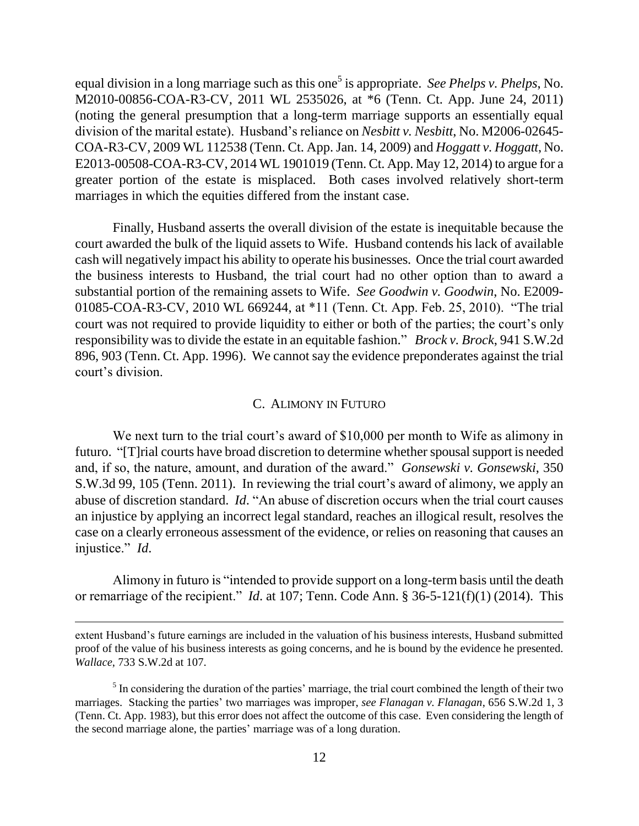equal division in a long marriage such as this one<sup>5</sup> is appropriate. *See Phelps v. Phelps*, No. M2010-00856-COA-R3-CV, 2011 WL 2535026, at \*6 (Tenn. Ct. App. June 24, 2011) (noting the general presumption that a long-term marriage supports an essentially equal division of the marital estate). Husband's reliance on *Nesbitt v. Nesbitt*, No. M2006-02645- COA-R3-CV, 2009 WL 112538 (Tenn. Ct. App. Jan. 14, 2009) and *Hoggatt v. Hoggatt*, No. E2013-00508-COA-R3-CV, 2014 WL 1901019 (Tenn. Ct. App. May 12, 2014) to argue for a greater portion of the estate is misplaced. Both cases involved relatively short-term marriages in which the equities differed from the instant case.

Finally, Husband asserts the overall division of the estate is inequitable because the court awarded the bulk of the liquid assets to Wife. Husband contends his lack of available cash will negatively impact his ability to operate his businesses. Once the trial court awarded the business interests to Husband, the trial court had no other option than to award a substantial portion of the remaining assets to Wife. *See Goodwin v. Goodwin*, No. E2009- 01085-COA-R3-CV, 2010 WL 669244, at \*11 (Tenn. Ct. App. Feb. 25, 2010). "The trial court was not required to provide liquidity to either or both of the parties; the court's only responsibility was to divide the estate in an equitable fashion." *Brock v. Brock*, 941 S.W.2d 896, 903 (Tenn. Ct. App. 1996). We cannot say the evidence preponderates against the trial court's division.

#### C. ALIMONY IN FUTURO

We next turn to the trial court's award of \$10,000 per month to Wife as alimony in futuro. "[T]rial courts have broad discretion to determine whether spousal support is needed and, if so, the nature, amount, and duration of the award." *Gonsewski v. Gonsewski*, 350 S.W.3d 99, 105 (Tenn. 2011). In reviewing the trial court's award of alimony, we apply an abuse of discretion standard. *Id*. "An abuse of discretion occurs when the trial court causes an injustice by applying an incorrect legal standard, reaches an illogical result, resolves the case on a clearly erroneous assessment of the evidence, or relies on reasoning that causes an injustice." *Id*.

Alimony in futuro is "intended to provide support on a long-term basis until the death or remarriage of the recipient." *Id*. at 107; Tenn. Code Ann. § 36-5-121(f)(1) (2014). This

extent Husband's future earnings are included in the valuation of his business interests, Husband submitted proof of the value of his business interests as going concerns, and he is bound by the evidence he presented. *Wallace*, 733 S.W.2d at 107.

<sup>&</sup>lt;sup>5</sup> In considering the duration of the parties' marriage, the trial court combined the length of their two marriages. Stacking the parties' two marriages was improper, *see Flanagan v. Flanagan*, 656 S.W.2d 1, 3 (Tenn. Ct. App. 1983), but this error does not affect the outcome of this case. Even considering the length of the second marriage alone, the parties' marriage was of a long duration.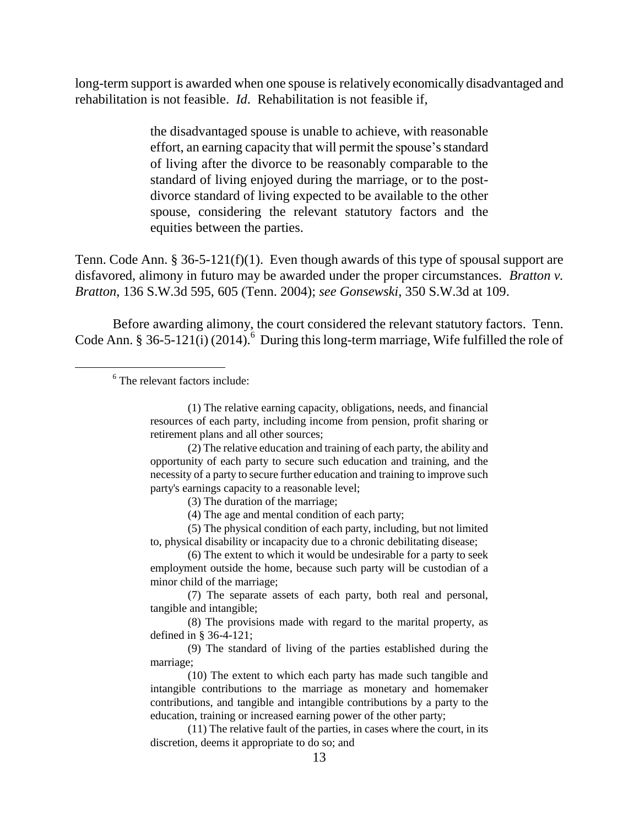long-term support is awarded when one spouse is relatively economically disadvantaged and rehabilitation is not feasible. *Id*. Rehabilitation is not feasible if,

> the disadvantaged spouse is unable to achieve, with reasonable effort, an earning capacity that will permit the spouse's standard of living after the divorce to be reasonably comparable to the standard of living enjoyed during the marriage, or to the postdivorce standard of living expected to be available to the other spouse, considering the relevant statutory factors and the equities between the parties.

Tenn. Code Ann. § 36-5-121(f)(1). Even though awards of this type of spousal support are disfavored, alimony in futuro may be awarded under the proper circumstances. *Bratton v. Bratton*, 136 S.W.3d 595, 605 (Tenn. 2004); *see Gonsewski*, 350 S.W.3d at 109.

Before awarding alimony, the court considered the relevant statutory factors. Tenn. Code Ann. § 36-5-121(i) (2014). <sup>6</sup> During this long-term marriage, Wife fulfilled the role of

6 The relevant factors include:

 $\overline{a}$ 

(2) The relative education and training of each party, the ability and opportunity of each party to secure such education and training, and the necessity of a party to secure further education and training to improve such party's earnings capacity to a reasonable level;

(3) The duration of the marriage;

(5) The physical condition of each party, including, but not limited to, physical disability or incapacity due to a chronic debilitating disease;

(6) The extent to which it would be undesirable for a party to seek employment outside the home, because such party will be custodian of a minor child of the marriage;

(7) The separate assets of each party, both real and personal, tangible and intangible;

(8) The provisions made with regard to the marital property, as defined in § 36-4-121;

(9) The standard of living of the parties established during the marriage;

(10) The extent to which each party has made such tangible and intangible contributions to the marriage as monetary and homemaker contributions, and tangible and intangible contributions by a party to the education, training or increased earning power of the other party;

(11) The relative fault of the parties, in cases where the court, in its discretion, deems it appropriate to do so; and

<sup>(1)</sup> The relative earning capacity, obligations, needs, and financial resources of each party, including income from pension, profit sharing or retirement plans and all other sources;

<sup>(4)</sup> The age and mental condition of each party;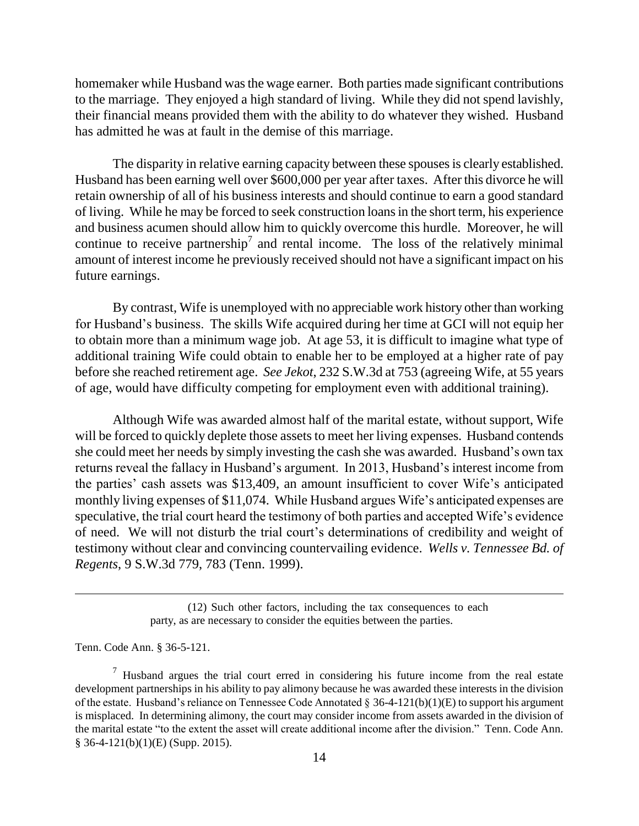homemaker while Husband was the wage earner. Both parties made significant contributions to the marriage. They enjoyed a high standard of living. While they did not spend lavishly, their financial means provided them with the ability to do whatever they wished. Husband has admitted he was at fault in the demise of this marriage.

The disparity in relative earning capacity between these spouses is clearly established. Husband has been earning well over \$600,000 per year after taxes. After this divorce he will retain ownership of all of his business interests and should continue to earn a good standard of living. While he may be forced to seek construction loans in the short term, his experience and business acumen should allow him to quickly overcome this hurdle. Moreover, he will continue to receive partnership<sup>7</sup> and rental income. The loss of the relatively minimal amount of interest income he previously received should not have a significant impact on his future earnings.

By contrast, Wife is unemployed with no appreciable work history other than working for Husband's business. The skills Wife acquired during her time at GCI will not equip her to obtain more than a minimum wage job. At age 53, it is difficult to imagine what type of additional training Wife could obtain to enable her to be employed at a higher rate of pay before she reached retirement age. *See Jekot*, 232 S.W.3d at 753 (agreeing Wife, at 55 years of age, would have difficulty competing for employment even with additional training).

Although Wife was awarded almost half of the marital estate, without support, Wife will be forced to quickly deplete those assets to meet her living expenses. Husband contends she could meet her needs by simply investing the cash she was awarded. Husband's own tax returns reveal the fallacy in Husband's argument. In 2013, Husband's interest income from the parties' cash assets was \$13,409, an amount insufficient to cover Wife's anticipated monthly living expenses of \$11,074. While Husband argues Wife's anticipated expenses are speculative, the trial court heard the testimony of both parties and accepted Wife's evidence of need. We will not disturb the trial court's determinations of credibility and weight of testimony without clear and convincing countervailing evidence. *Wells v. Tennessee Bd. of Regents*, 9 S.W.3d 779, 783 (Tenn. 1999).

Tenn. Code Ann. § 36-5-121.

<sup>(12)</sup> Such other factors, including the tax consequences to each party, as are necessary to consider the equities between the parties.

 $<sup>7</sup>$  Husband argues the trial court erred in considering his future income from the real estate</sup> development partnerships in his ability to pay alimony because he was awarded these interests in the division of the estate. Husband's reliance on Tennessee Code Annotated  $\S$  36-4-121(b)(1)(E) to support his argument is misplaced. In determining alimony, the court may consider income from assets awarded in the division of the marital estate "to the extent the asset will create additional income after the division." Tenn. Code Ann. § 36-4-121(b)(1)(E) (Supp. 2015).